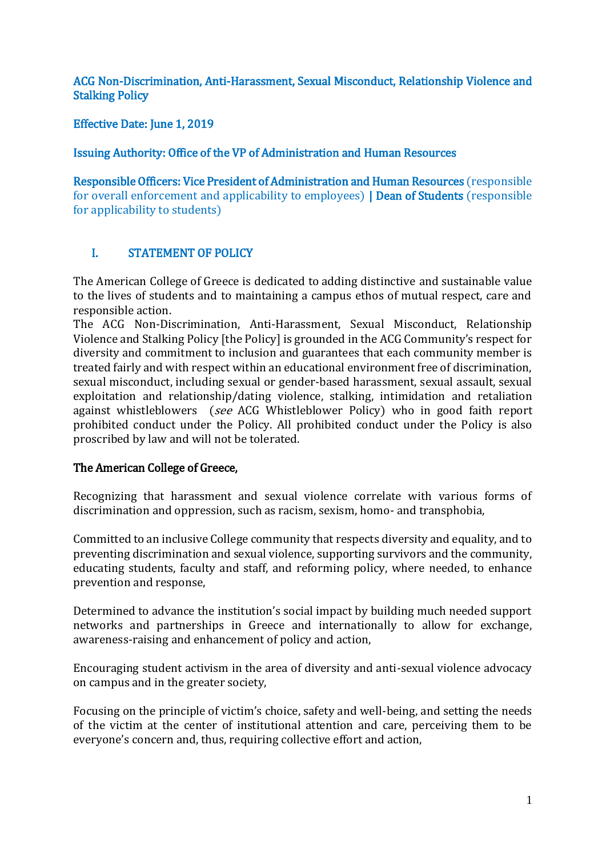ACG Non-Discrimination, Anti-Harassment, Sexual Misconduct, Relationship Violence and Stalking Policy

Effective Date: June 1, 2019

Issuing Authority: Office of the VP of Administration and Human Resources

Responsible Officers: Vice President of Administration and Human Resources (responsible for overall enforcement and applicability to employees) | Dean of Students (responsible for applicability to students)

# I. STATEMENT OF POLICY

The American College of Greece is dedicated to adding distinctive and sustainable value to the lives of students and to maintaining a campus ethos of mutual respect, care and responsible action.

The ACG Non-Discrimination, Anti-Harassment, Sexual Misconduct, Relationship Violence and Stalking Policy [the Policy] is grounded in the ACG Community's respect for diversity and commitment to inclusion and guarantees that each community member is treated fairly and with respect within an educational environment free of discrimination, sexual misconduct, including sexual or gender-based harassment, sexual assault, sexual exploitation and relationship/dating violence, stalking, intimidation and retaliation against whistleblowers (see ACG Whistleblower Policy) who in good faith report prohibited conduct under the Policy. All prohibited conduct under the Policy is also proscribed by law and will not be tolerated.

### The American College of Greece,

Recognizing that harassment and sexual violence correlate with various forms of discrimination and oppression, such as racism, sexism, homo- and transphobia,

Committed to an inclusive College community that respects diversity and equality, and to preventing discrimination and sexual violence, supporting survivors and the community, educating students, faculty and staff, and reforming policy, where needed, to enhance prevention and response,

Determined to advance the institution's social impact by building much needed support networks and partnerships in Greece and internationally to allow for exchange, awareness-raising and enhancement of policy and action,

Encouraging student activism in the area of diversity and anti-sexual violence advocacy on campus and in the greater society,

Focusing on the principle of victim's choice, safety and well-being, and setting the needs of the victim at the center of institutional attention and care, perceiving them to be everyone's concern and, thus, requiring collective effort and action,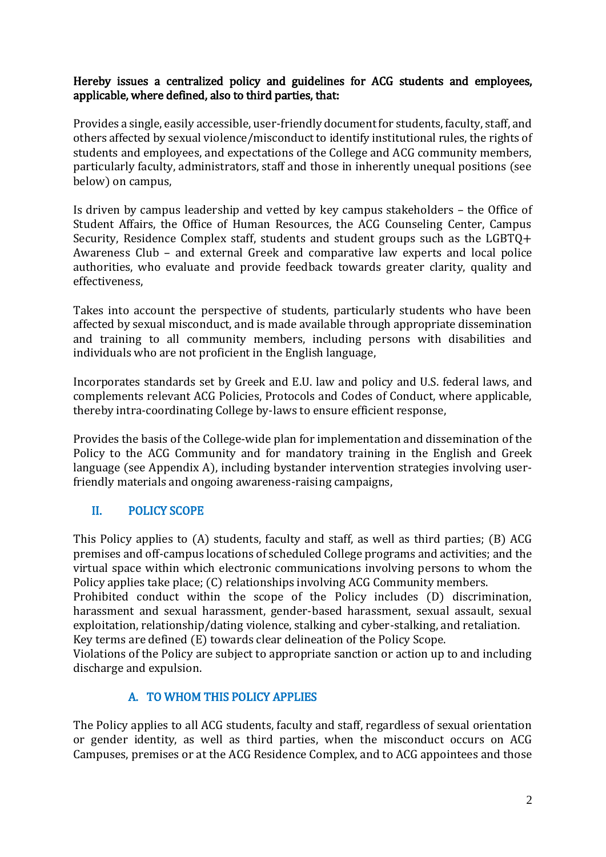### Hereby issues a centralized policy and guidelines for ACG students and employees, applicable, where defined, also to third parties, that:

Provides a single, easily accessible, user-friendly document for students, faculty, staff, and others affected by sexual violence/misconduct to identify institutional rules, the rights of students and employees, and expectations of the College and ACG community members, particularly faculty, administrators, staff and those in inherently unequal positions (see below) on campus,

Is driven by campus leadership and vetted by key campus stakeholders – the Office of Student Affairs, the Office of Human Resources, the ACG Counseling Center, Campus Security, Residence Complex staff, students and student groups such as the LGBTQ+ Awareness Club – and external Greek and comparative law experts and local police authorities, who evaluate and provide feedback towards greater clarity, quality and effectiveness,

Takes into account the perspective of students, particularly students who have been affected by sexual misconduct, and is made available through appropriate dissemination and training to all community members, including persons with disabilities and individuals who are not proficient in the English language,

Incorporates standards set by Greek and E.U. law and policy and U.S. federal laws, and complements relevant ACG Policies, Protocols and Codes of Conduct, where applicable, thereby intra-coordinating College by-laws to ensure efficient response,

Provides the basis of the College-wide plan for implementation and dissemination of the Policy to the ACG Community and for mandatory training in the English and Greek language (see Appendix A), including bystander intervention strategies involving userfriendly materials and ongoing awareness-raising campaigns,

# II. POLICY SCOPE

This Policy applies to (A) students, faculty and staff, as well as third parties; (B) ACG premises and off-campus locations of scheduled College programs and activities; and the virtual space within which electronic communications involving persons to whom the Policy applies take place; (C) relationships involving ACG Community members.

Prohibited conduct within the scope of the Policy includes (D) discrimination, harassment and sexual harassment, gender-based harassment, sexual assault, sexual exploitation, relationship/dating violence, stalking and cyber-stalking, and retaliation. Key terms are defined (E) towards clear delineation of the Policy Scope.

Violations of the Policy are subject to appropriate sanction or action up to and including discharge and expulsion.

### A. TO WHOM THIS POLICY APPLIES

The Policy applies to all ACG students, faculty and staff, regardless of sexual orientation or gender identity, as well as third parties, when the misconduct occurs on ACG Campuses, premises or at the ACG Residence Complex, and to ACG appointees and those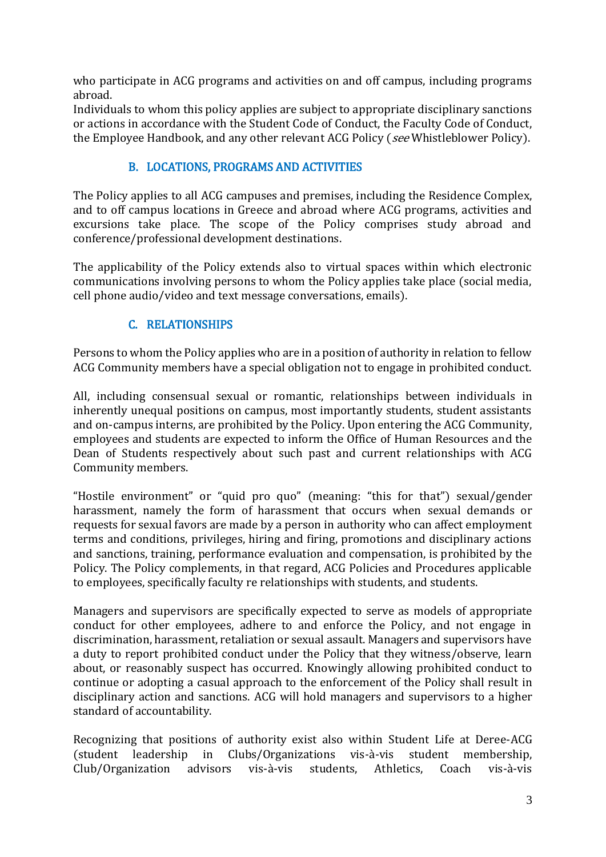who participate in ACG programs and activities on and off campus, including programs abroad.

Individuals to whom this policy applies are subject to appropriate disciplinary sanctions or actions in accordance with the Student Code of Conduct, the Faculty Code of Conduct, the Employee Handbook, and any other relevant ACG Policy (see Whistleblower Policy).

# B. LOCATIONS, PROGRAMS AND ACTIVITIES

The Policy applies to all ACG campuses and premises, including the Residence Complex, and to off campus locations in Greece and abroad where ACG programs, activities and excursions take place. The scope of the Policy comprises study abroad and conference/professional development destinations.

The applicability of the Policy extends also to virtual spaces within which electronic communications involving persons to whom the Policy applies take place (social media, cell phone audio/video and text message conversations, emails).

# C. RELATIONSHIPS

Persons to whom the Policy applies who are in a position of authority in relation to fellow ACG Community members have a special obligation not to engage in prohibited conduct.

All, including consensual sexual or romantic, relationships between individuals in inherently unequal positions on campus, most importantly students, student assistants and on-campus interns, are prohibited by the Policy. Upon entering the ACG Community, employees and students are expected to inform the Office of Human Resources and the Dean of Students respectively about such past and current relationships with ACG Community members.

"Hostile environment" or "quid pro quo" (meaning: "this for that") sexual/gender harassment, namely the form of harassment that occurs when sexual demands or requests for sexual favors are made by a person in authority who can affect employment terms and conditions, privileges, hiring and firing, promotions and disciplinary actions and sanctions, training, performance evaluation and compensation, is prohibited by the Policy. The Policy complements, in that regard, ACG Policies and Procedures applicable to employees, specifically faculty re relationships with students, and students.

Managers and supervisors are specifically expected to serve as models of appropriate conduct for other employees, adhere to and enforce the Policy, and not engage in discrimination, harassment, retaliation or sexual assault. Managers and supervisors have a duty to report prohibited conduct under the Policy that they witness/observe, learn about, or reasonably suspect has occurred. Knowingly allowing prohibited conduct to continue or adopting a casual approach to the enforcement of the Policy shall result in disciplinary action and sanctions. ACG will hold managers and supervisors to a higher standard of accountability.

Recognizing that positions of authority exist also within Student Life at Deree-ACG (student leadership in Clubs/Organizations vis-à-vis student membership, Club/Organization advisors vis-à-vis students, Athletics, Coach vis-à-vis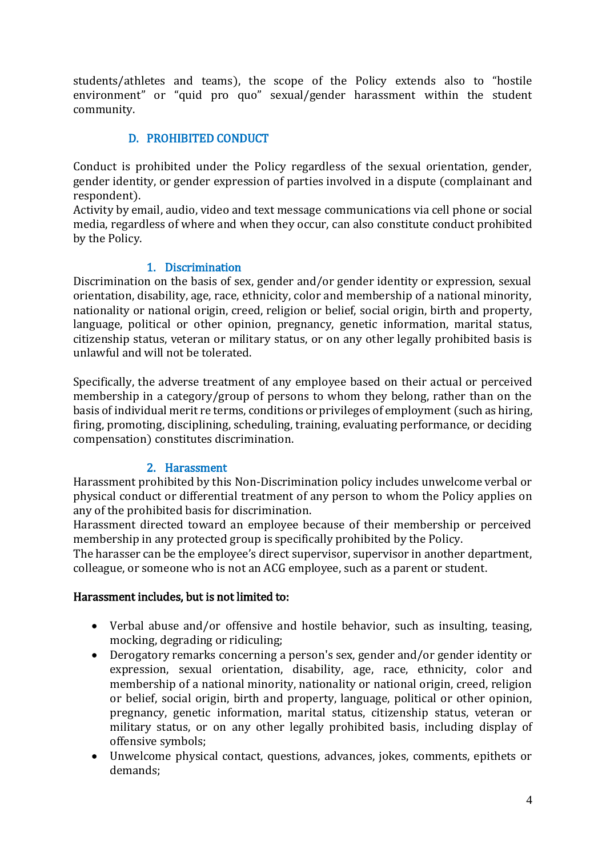students/athletes and teams), the scope of the Policy extends also to "hostile environment" or "quid pro quo" sexual/gender harassment within the student community.

## D. PROHIBITED CONDUCT

Conduct is prohibited under the Policy regardless of the sexual orientation, gender, gender identity, or gender expression of parties involved in a dispute (complainant and respondent).

Activity by email, audio, video and text message communications via cell phone or social media, regardless of where and when they occur, can also constitute conduct prohibited by the Policy.

### 1. Discrimination

Discrimination on the basis of sex, gender and/or gender identity or expression, sexual orientation, disability, age, race, ethnicity, color and membership of a national minority, nationality or national origin, creed, religion or belief, social origin, birth and property, language, political or other opinion, pregnancy, genetic information, marital status, citizenship status, veteran or military status, or on any other legally prohibited basis is unlawful and will not be tolerated.

Specifically, the adverse treatment of any employee based on their actual or perceived membership in a category/group of persons to whom they belong, rather than on the basis of individual merit re terms, conditions or privileges of employment (such as hiring, firing, promoting, disciplining, scheduling, training, evaluating performance, or deciding compensation) constitutes discrimination.

# 2. Harassment

Harassment prohibited by this Non-Discrimination policy includes unwelcome verbal or physical conduct or differential treatment of any person to whom the Policy applies on any of the prohibited basis for discrimination.

Harassment directed toward an employee because of their membership or perceived membership in any protected group is specifically prohibited by the Policy.

The harasser can be the employee's direct supervisor, supervisor in another department, colleague, or someone who is not an ACG employee, such as a parent or student.

### Harassment includes, but is not limited to:

- Verbal abuse and/or offensive and hostile behavior, such as insulting, teasing, mocking, degrading or ridiculing;
- Derogatory remarks concerning a person's sex, gender and/or gender identity or expression, sexual orientation, disability, age, race, ethnicity, color and membership of a national minority, nationality or national origin, creed, religion or belief, social origin, birth and property, language, political or other opinion, pregnancy, genetic information, marital status, citizenship status, veteran or military status, or on any other legally prohibited basis, including display of offensive symbols;
- Unwelcome physical contact, questions, advances, jokes, comments, epithets or demands;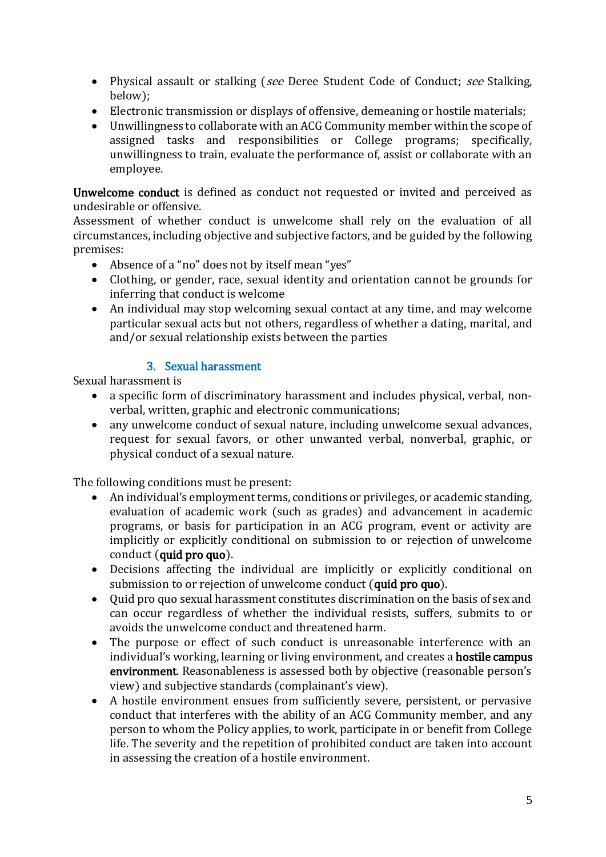- Physical assault or stalking (see Deree Student Code of Conduct; see Stalking, below);
- Electronic transmission or displays of offensive, demeaning or hostile materials;
- Unwillingness to collaborate with an ACG Community member within the scope of assigned tasks and responsibilities or College programs; specifically, unwillingness to train, evaluate the performance of, assist or collaborate with an employee.

Unwelcome conduct is defined as conduct not requested or invited and perceived as undesirable or offensive.

Assessment of whether conduct is unwelcome shall rely on the evaluation of all circumstances, including objective and subjective factors, and be guided by the following premises:

- Absence of a "no" does not by itself mean "yes"
- Clothing, or gender, race, sexual identity and orientation cannot be grounds for inferring that conduct is welcome
- An individual may stop welcoming sexual contact at any time, and may welcome particular sexual acts but not others, regardless of whether a dating, marital, and and/or sexual relationship exists between the parties

#### 3. Sexual harassment

Sexual harassment is

- a specific form of discriminatory harassment and includes physical, verbal, nonverbal, written, graphic and electronic communications;
- any unwelcome conduct of sexual nature, including unwelcome sexual advances, request for sexual favors, or other unwanted verbal, nonverbal, graphic, or physical conduct of a sexual nature.

The following conditions must be present:

- An individual's employment terms, conditions or privileges, or academic standing, evaluation of academic work (such as grades) and advancement in academic programs, or basis for participation in an ACG program, event or activity are implicitly or explicitly conditional on submission to or rejection of unwelcome conduct (quid pro quo).
- Decisions affecting the individual are implicitly or explicitly conditional on submission to or rejection of unwelcome conduct (quid pro quo).
- Quid pro quo sexual harassment constitutes discrimination on the basis of sex and can occur regardless of whether the individual resists, suffers, submits to or avoids the unwelcome conduct and threatened harm.
- The purpose or effect of such conduct is unreasonable interference with an individual's working, learning or living environment, and creates a hostile campus environment. Reasonableness is assessed both by objective (reasonable person's view) and subjective standards (complainant's view).
- A hostile environment ensues from sufficiently severe, persistent, or pervasive conduct that interferes with the ability of an ACG Community member, and any person to whom the Policy applies, to work, participate in or benefit from College life. The severity and the repetition of prohibited conduct are taken into account in assessing the creation of a hostile environment.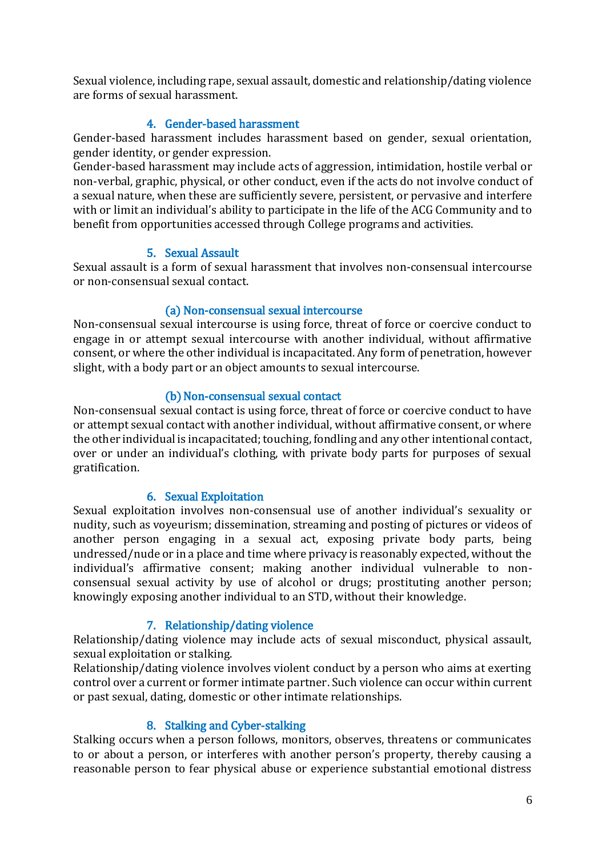Sexual violence, including rape, sexual assault, domestic and relationship/dating violence are forms of sexual harassment.

## 4. Gender-based harassment

Gender-based harassment includes harassment based on gender, sexual orientation, gender identity, or gender expression.

Gender-based harassment may include acts of aggression, intimidation, hostile verbal or non-verbal, graphic, physical, or other conduct, even if the acts do not involve conduct of a sexual nature, when these are sufficiently severe, persistent, or pervasive and interfere with or limit an individual's ability to participate in the life of the ACG Community and to benefit from opportunities accessed through College programs and activities.

### 5. Sexual Assault

Sexual assault is a form of sexual harassment that involves non-consensual intercourse or non-consensual sexual contact.

### (a) Non-consensual sexual intercourse

Non-consensual sexual intercourse is using force, threat of force or coercive conduct to engage in or attempt sexual intercourse with another individual, without affirmative consent, or where the other individual is incapacitated. Any form of penetration, however slight, with a body part or an object amounts to sexual intercourse.

### (b) Non-consensual sexual contact

Non-consensual sexual contact is using force, threat of force or coercive conduct to have or attempt sexual contact with another individual, without affirmative consent, or where the other individual is incapacitated; touching, fondling and any other intentional contact, over or under an individual's clothing, with private body parts for purposes of sexual gratification.

### 6. Sexual Exploitation

Sexual exploitation involves non-consensual use of another individual's sexuality or nudity, such as voyeurism; dissemination, streaming and posting of pictures or videos of another person engaging in a sexual act, exposing private body parts, being undressed/nude or in a place and time where privacy is reasonably expected, without the individual's affirmative consent; making another individual vulnerable to nonconsensual sexual activity by use of alcohol or drugs; prostituting another person; knowingly exposing another individual to an STD, without their knowledge.

### 7. Relationship/dating violence

Relationship/dating violence may include acts of sexual misconduct, physical assault, sexual exploitation or stalking.

Relationship/dating violence involves violent conduct by a person who aims at exerting control over a current or former intimate partner. Such violence can occur within current or past sexual, dating, domestic or other intimate relationships.

### 8. Stalking and Cyber-stalking

Stalking occurs when a person follows, monitors, observes, threatens or communicates to or about a person, or interferes with another person's property, thereby causing a reasonable person to fear physical abuse or experience substantial emotional distress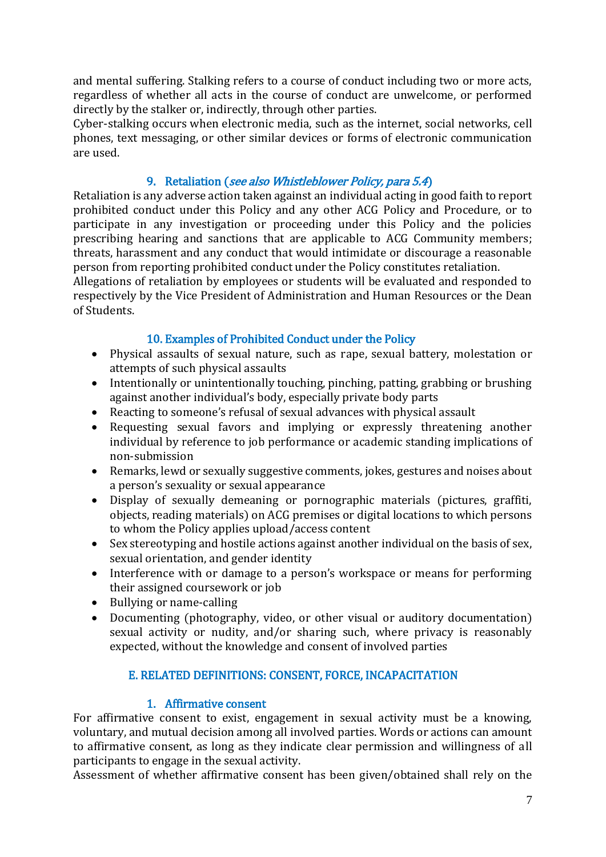and mental suffering. Stalking refers to a course of conduct including two or more acts, regardless of whether all acts in the course of conduct are unwelcome, or performed directly by the stalker or, indirectly, through other parties.

Cyber-stalking occurs when electronic media, such as the internet, social networks, cell phones, text messaging, or other similar devices or forms of electronic communication are used.

## 9. Retaliation (see also Whistleblower Policy, para 5.4)

Retaliation is any adverse action taken against an individual acting in good faith to report prohibited conduct under this Policy and any other ACG Policy and Procedure, or to participate in any investigation or proceeding under this Policy and the policies prescribing hearing and sanctions that are applicable to ACG Community members; threats, harassment and any conduct that would intimidate or discourage a reasonable person from reporting prohibited conduct under the Policy constitutes retaliation.

Allegations of retaliation by employees or students will be evaluated and responded to respectively by the Vice President of Administration and Human Resources or the Dean of Students.

### 10. Examples of Prohibited Conduct under the Policy

- Physical assaults of sexual nature, such as rape, sexual battery, molestation or attempts of such physical assaults
- Intentionally or unintentionally touching, pinching, patting, grabbing or brushing against another individual's body, especially private body parts
- Reacting to someone's refusal of sexual advances with physical assault
- Requesting sexual favors and implying or expressly threatening another individual by reference to job performance or academic standing implications of non-submission
- Remarks, lewd or sexually suggestive comments, jokes, gestures and noises about a person's sexuality or sexual appearance
- Display of sexually demeaning or pornographic materials (pictures, graffiti, objects, reading materials) on ACG premises or digital locations to which persons to whom the Policy applies upload/access content
- Sex stereotyping and hostile actions against another individual on the basis of sex, sexual orientation, and gender identity
- Interference with or damage to a person's workspace or means for performing their assigned coursework or job
- Bullying or name-calling
- Documenting (photography, video, or other visual or auditory documentation) sexual activity or nudity, and/or sharing such, where privacy is reasonably expected, without the knowledge and consent of involved parties

# Ε. RELATED DEFINITIONS: CONSENT, FORCE, INCAPACITATION

### 1. Affirmative consent

For affirmative consent to exist, engagement in sexual activity must be a knowing, voluntary, and mutual decision among all involved parties. Words or actions can amount to affirmative consent, as long as they indicate clear permission and willingness of all participants to engage in the sexual activity.

Assessment of whether affirmative consent has been given/obtained shall rely on the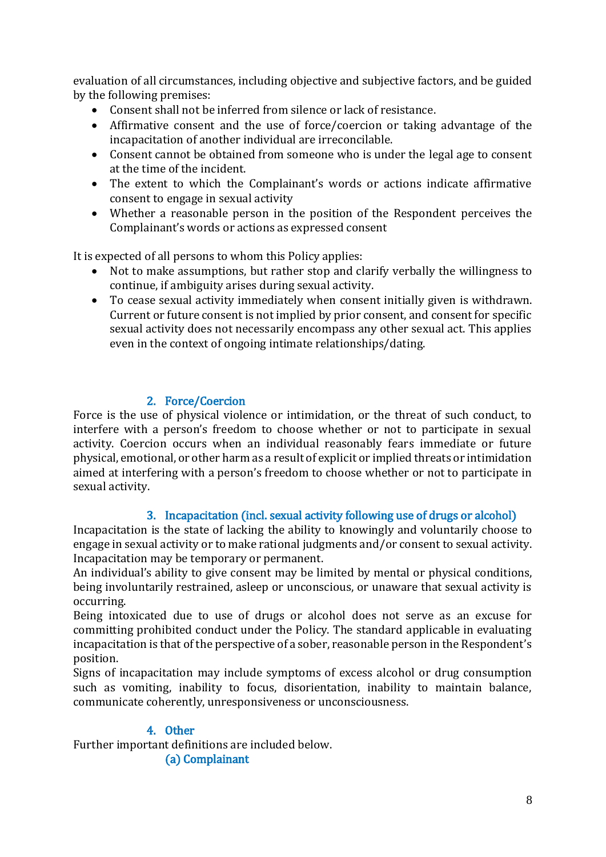evaluation of all circumstances, including objective and subjective factors, and be guided by the following premises:

- Consent shall not be inferred from silence or lack of resistance.
- Affirmative consent and the use of force/coercion or taking advantage of the incapacitation of another individual are irreconcilable.
- Consent cannot be obtained from someone who is under the legal age to consent at the time of the incident.
- The extent to which the Complainant's words or actions indicate affirmative consent to engage in sexual activity
- Whether a reasonable person in the position of the Respondent perceives the Complainant's words or actions as expressed consent

It is expected of all persons to whom this Policy applies:

- Not to make assumptions, but rather stop and clarify verbally the willingness to continue, if ambiguity arises during sexual activity.
- To cease sexual activity immediately when consent initially given is withdrawn. Current or future consent is not implied by prior consent, and consent for specific sexual activity does not necessarily encompass any other sexual act. This applies even in the context of ongoing intimate relationships/dating.

## 2. Force/Coercion

Force is the use of physical violence or intimidation, or the threat of such conduct, to interfere with a person's freedom to choose whether or not to participate in sexual activity. Coercion occurs when an individual reasonably fears immediate or future physical, emotional, or other harm as a result of explicit or implied threats or intimidation aimed at interfering with a person's freedom to choose whether or not to participate in sexual activity.

### 3. Incapacitation (incl. sexual activity following use of drugs or alcohol)

Incapacitation is the state of lacking the ability to knowingly and voluntarily choose to engage in sexual activity or to make rational judgments and/or consent to sexual activity. Incapacitation may be temporary or permanent.

An individual's ability to give consent may be limited by mental or physical conditions, being involuntarily restrained, asleep or unconscious, or unaware that sexual activity is occurring.

Being intoxicated due to use of drugs or alcohol does not serve as an excuse for committing prohibited conduct under the Policy. The standard applicable in evaluating incapacitation is that of the perspective of a sober, reasonable person in the Respondent's position.

Signs of incapacitation may include symptoms of excess alcohol or drug consumption such as vomiting, inability to focus, disorientation, inability to maintain balance, communicate coherently, unresponsiveness or unconsciousness.

### 4. Other

Further important definitions are included below.

(a) Complainant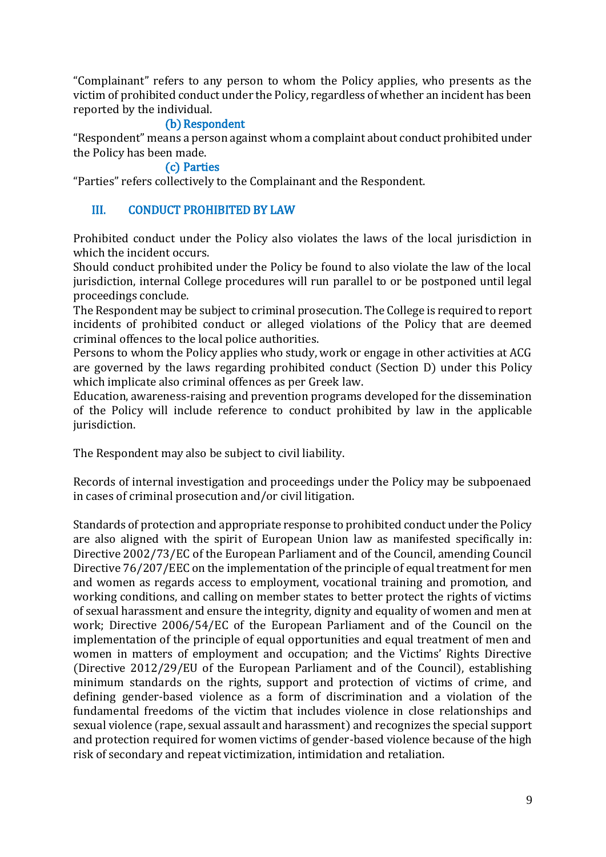"Complainant" refers to any person to whom the Policy applies, who presents as the victim of prohibited conduct under the Policy, regardless of whether an incident has been reported by the individual.

#### (b) Respondent

"Respondent" means a person against whom a complaint about conduct prohibited under the Policy has been made.

### (c) Parties

"Parties" refers collectively to the Complainant and the Respondent.

#### III. CONDUCT PROHIBITED BY LAW

Prohibited conduct under the Policy also violates the laws of the local jurisdiction in which the incident occurs.

Should conduct prohibited under the Policy be found to also violate the law of the local jurisdiction, internal College procedures will run parallel to or be postponed until legal proceedings conclude.

The Respondent may be subject to criminal prosecution. The College is required to report incidents of prohibited conduct or alleged violations of the Policy that are deemed criminal offences to the local police authorities.

Persons to whom the Policy applies who study, work or engage in other activities at ACG are governed by the laws regarding prohibited conduct (Section D) under this Policy which implicate also criminal offences as per Greek law.

Education, awareness-raising and prevention programs developed for the dissemination of the Policy will include reference to conduct prohibited by law in the applicable jurisdiction.

The Respondent may also be subject to civil liability.

Records of internal investigation and proceedings under the Policy may be subpoenaed in cases of criminal prosecution and/or civil litigation.

Standards of protection and appropriate response to prohibited conduct under the Policy are also aligned with the spirit of European Union law as manifested specifically in: Directive 2002/73/EC of the European Parliament and of the Council, amending Council Directive 76/207/EEC on the implementation of the principle of equal treatment for men and women as regards access to employment, vocational training and promotion, and working conditions, and calling on member states to better protect the rights of victims of sexual harassment and ensure the integrity, dignity and equality of women and men at work; Directive 2006/54/EC of the European Parliament and of the Council on the implementation of the principle of equal opportunities and equal treatment of men and women in matters of employment and occupation; and the Victims' Rights Directive (Directive 2012/29/EU of the European Parliament and of the Council), establishing minimum standards on the rights, support and protection of victims of crime, and defining gender-based violence as a form of discrimination and a violation of the fundamental freedoms of the victim that includes violence in close relationships and sexual violence (rape, sexual assault and harassment) and recognizes the special support and protection required for women victims of gender-based violence because of the high risk of secondary and repeat victimization, intimidation and retaliation.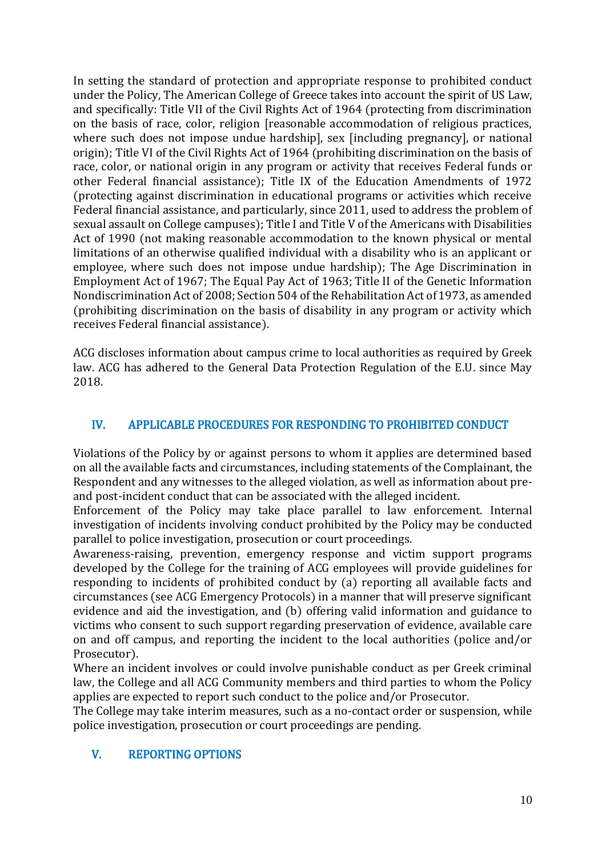In setting the standard of protection and appropriate response to prohibited conduct under the Policy, The American College of Greece takes into account the spirit of US Law, and specifically: Title VII of the Civil Rights Act of 1964 (protecting from discrimination on the basis of race, color, religion [reasonable accommodation of religious practices, where such does not impose undue hardship], sex [including pregnancy], or national origin); Title VI of the Civil Rights Act of 1964 (prohibiting discrimination on the basis of race, color, or national origin in any program or activity that receives Federal funds or other Federal financial assistance); Title IX of the Education Amendments of 1972 (protecting against discrimination in educational programs or activities which receive Federal financial assistance, and particularly, since 2011, used to address the problem of sexual assault on College campuses); Title I and Title V of the Americans with Disabilities Act of 1990 (not making reasonable accommodation to the known physical or mental limitations of an otherwise qualified individual with a disability who is an applicant or employee, where such does not impose undue hardship); The Age Discrimination in Employment Act of 1967; The Equal Pay Act of 1963; Title II of the Genetic Information Nondiscrimination Act of 2008; Section 504 of the Rehabilitation Act of 1973, as amended (prohibiting discrimination on the basis of disability in any program or activity which receives Federal financial assistance).

ACG discloses information about campus crime to local authorities as required by Greek law. ACG has adhered to the General Data Protection Regulation of the E.U. since May 2018.

## IV. APPLICABLE PROCEDURES FOR RESPONDING TO PROHIBITED CONDUCT

Violations of the Policy by or against persons to whom it applies are determined based on all the available facts and circumstances, including statements of the Complainant, the Respondent and any witnesses to the alleged violation, as well as information about preand post-incident conduct that can be associated with the alleged incident.

Enforcement of the Policy may take place parallel to law enforcement. Internal investigation of incidents involving conduct prohibited by the Policy may be conducted parallel to police investigation, prosecution or court proceedings.

Awareness-raising, prevention, emergency response and victim support programs developed by the College for the training of ACG employees will provide guidelines for responding to incidents of prohibited conduct by (a) reporting all available facts and circumstances (see ACG Emergency Protocols) in a manner that will preserve significant evidence and aid the investigation, and (b) offering valid information and guidance to victims who consent to such support regarding preservation of evidence, available care on and off campus, and reporting the incident to the local authorities (police and/or Prosecutor).

Where an incident involves or could involve punishable conduct as per Greek criminal law, the College and all ACG Community members and third parties to whom the Policy applies are expected to report such conduct to the police and/or Prosecutor.

The College may take interim measures, such as a no-contact order or suspension, while police investigation, prosecution or court proceedings are pending.

# V. REPORTING OPTIONS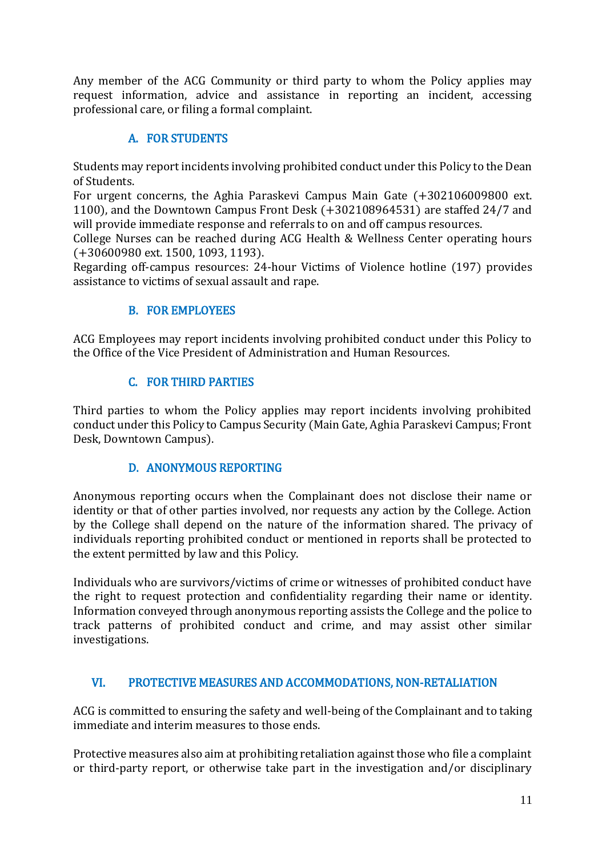Any member of the ACG Community or third party to whom the Policy applies may request information, advice and assistance in reporting an incident, accessing professional care, or filing a formal complaint.

# A. FOR STUDENTS

Students may report incidents involving prohibited conduct under this Policy to the Dean of Students.

For urgent concerns, the Aghia Paraskevi Campus Main Gate (+302106009800 ext. 1100), and the Downtown Campus Front Desk (+302108964531) are staffed 24/7 and will provide immediate response and referrals to on and off campus resources.

College Nurses can be reached during ACG Health & Wellness Center operating hours (+30600980 ext. 1500, 1093, 1193).

Regarding off-campus resources: 24-hour Victims of Violence hotline (197) provides assistance to victims of sexual assault and rape.

# B. FOR EMPLOYEES

ACG Employees may report incidents involving prohibited conduct under this Policy to the Office of the Vice President of Administration and Human Resources.

# C. FOR THIRD PARTIES

Third parties to whom the Policy applies may report incidents involving prohibited conduct under this Policy to Campus Security (Main Gate, Aghia Paraskevi Campus; Front Desk, Downtown Campus).

### D. ANONYMOUS REPORTING

Anonymous reporting occurs when the Complainant does not disclose their name or identity or that of other parties involved, nor requests any action by the College. Action by the College shall depend on the nature of the information shared. The privacy of individuals reporting prohibited conduct or mentioned in reports shall be protected to the extent permitted by law and this Policy.

Individuals who are survivors/victims of crime or witnesses of prohibited conduct have the right to request protection and confidentiality regarding their name or identity. Information conveyed through anonymous reporting assists the College and the police to track patterns of prohibited conduct and crime, and may assist other similar investigations.

# VI. PROTECTIVE MEASURES AND ACCOMMODATIONS, NON-RETALIATION

ACG is committed to ensuring the safety and well-being of the Complainant and to taking immediate and interim measures to those ends.

Protective measures also aim at prohibiting retaliation against those who file a complaint or third-party report, or otherwise take part in the investigation and/or disciplinary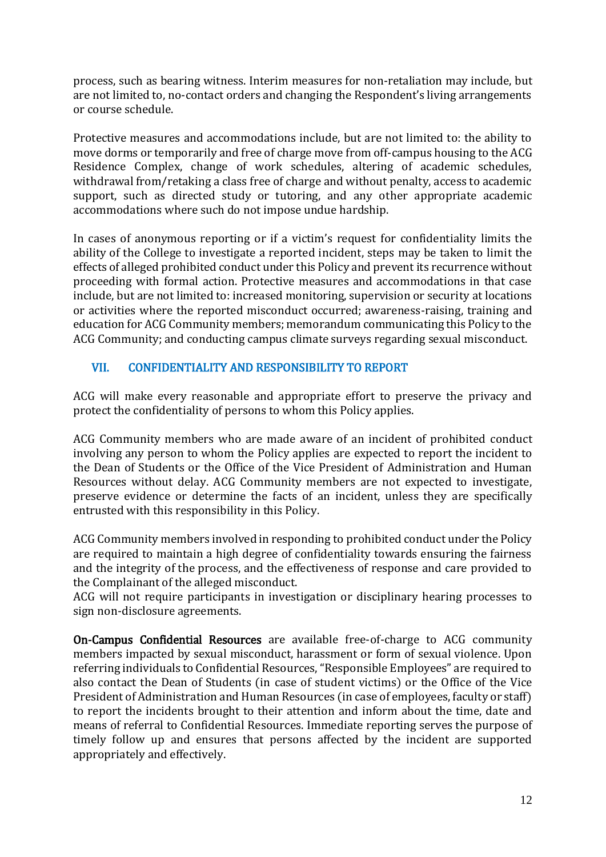process, such as bearing witness. Interim measures for non-retaliation may include, but are not limited to, no-contact orders and changing the Respondent's living arrangements or course schedule.

Protective measures and accommodations include, but are not limited to: the ability to move dorms or temporarily and free of charge move from off-campus housing to the ACG Residence Complex, change of work schedules, altering of academic schedules, withdrawal from/retaking a class free of charge and without penalty, access to academic support, such as directed study or tutoring, and any other appropriate academic accommodations where such do not impose undue hardship.

In cases of anonymous reporting or if a victim's request for confidentiality limits the ability of the College to investigate a reported incident, steps may be taken to limit the effects of alleged prohibited conduct under this Policy and prevent its recurrence without proceeding with formal action. Protective measures and accommodations in that case include, but are not limited to: increased monitoring, supervision or security at locations or activities where the reported misconduct occurred; awareness-raising, training and education for ACG Community members; memorandum communicating this Policy to the ACG Community; and conducting campus climate surveys regarding sexual misconduct.

## VII. CONFIDENTIALITY AND RESPONSIBILITY TO REPORT

ACG will make every reasonable and appropriate effort to preserve the privacy and protect the confidentiality of persons to whom this Policy applies.

ACG Community members who are made aware of an incident of prohibited conduct involving any person to whom the Policy applies are expected to report the incident to the Dean of Students or the Office of the Vice President of Administration and Human Resources without delay. ACG Community members are not expected to investigate, preserve evidence or determine the facts of an incident, unless they are specifically entrusted with this responsibility in this Policy.

ACG Community members involved in responding to prohibited conduct under the Policy are required to maintain a high degree of confidentiality towards ensuring the fairness and the integrity of the process, and the effectiveness of response and care provided to the Complainant of the alleged misconduct.

ACG will not require participants in investigation or disciplinary hearing processes to sign non-disclosure agreements.

On-Campus Confidential Resources are available free-of-charge to ACG community members impacted by sexual misconduct, harassment or form of sexual violence. Upon referring individuals to Confidential Resources, "Responsible Employees" are required to also contact the Dean of Students (in case of student victims) or the Office of the Vice President of Administration and Human Resources (in case of employees, faculty or staff) to report the incidents brought to their attention and inform about the time, date and means of referral to Confidential Resources. Immediate reporting serves the purpose of timely follow up and ensures that persons affected by the incident are supported appropriately and effectively.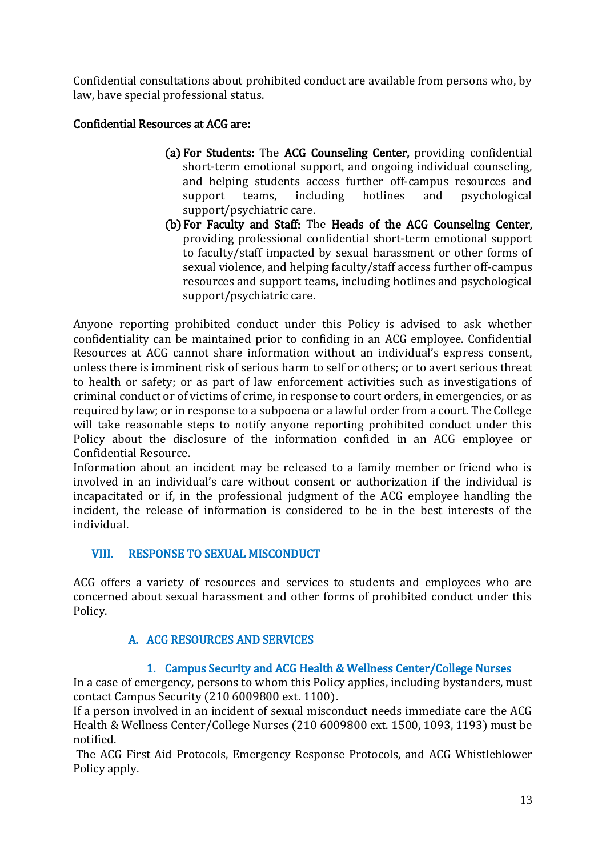Confidential consultations about prohibited conduct are available from persons who, by law, have special professional status.

## Confidential Resources at ACG are:

- (a) For Students: The ACG Counseling Center, providing confidential short-term emotional support, and ongoing individual counseling, and helping students access further off-campus resources and support teams, including hotlines and psychological support/psychiatric care.
- (b)For Faculty and Staff: The Heads of the ACG Counseling Center, providing professional confidential short-term emotional support to faculty/staff impacted by sexual harassment or other forms of sexual violence, and helping faculty/staff access further off-campus resources and support teams, including hotlines and psychological support/psychiatric care.

Anyone reporting prohibited conduct under this Policy is advised to ask whether confidentiality can be maintained prior to confiding in an ACG employee. Confidential Resources at ACG cannot share information without an individual's express consent, unless there is imminent risk of serious harm to self or others; or to avert serious threat to health or safety; or as part of law enforcement activities such as investigations of criminal conduct or of victims of crime, in response to court orders, in emergencies, or as required by law; or in response to a subpoena or a lawful order from a court. The College will take reasonable steps to notify anyone reporting prohibited conduct under this Policy about the disclosure of the information confided in an ACG employee or Confidential Resource.

Information about an incident may be released to a family member or friend who is involved in an individual's care without consent or authorization if the individual is incapacitated or if, in the professional judgment of the ACG employee handling the incident, the release of information is considered to be in the best interests of the individual.

### VIII. RESPONSE TO SEXUAL MISCONDUCT

ACG offers a variety of resources and services to students and employees who are concerned about sexual harassment and other forms of prohibited conduct under this Policy.

### A. ACG RESOURCES AND SERVICES

### 1. Campus Security and ACG Health & Wellness Center/College Nurses

In a case of emergency, persons to whom this Policy applies, including bystanders, must contact Campus Security (210 6009800 ext. 1100).

If a person involved in an incident of sexual misconduct needs immediate care the ACG Health & Wellness Center/College Nurses (210 6009800 ext. 1500, 1093, 1193) must be notified.

The ACG First Aid Protocols, Emergency Response Protocols, and ACG Whistleblower Policy apply.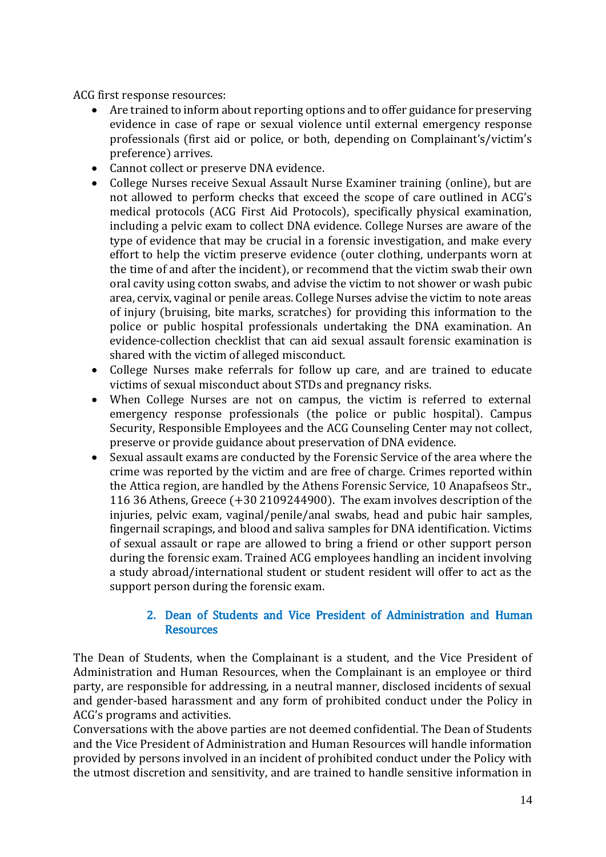ACG first response resources:

- Are trained to inform about reporting options and to offer guidance for preserving evidence in case of rape or sexual violence until external emergency response professionals (first aid or police, or both, depending on Complainant's/victim's preference) arrives.
- Cannot collect or preserve DNA evidence.
- College Nurses receive Sexual Assault Nurse Examiner training (online), but are not allowed to perform checks that exceed the scope of care outlined in ACG's medical protocols (ACG First Aid Protocols), specifically physical examination, including a pelvic exam to collect DNA evidence. College Nurses are aware of the type of evidence that may be crucial in a forensic investigation, and make every effort to help the victim preserve evidence (outer clothing, underpants worn at the time of and after the incident), or recommend that the victim swab their own oral cavity using cotton swabs, and advise the victim to not shower or wash pubic area, cervix, vaginal or penile areas. College Nurses advise the victim to note areas of injury (bruising, bite marks, scratches) for providing this information to the police or public hospital professionals undertaking the DNA examination. An evidence-collection checklist that can aid sexual assault forensic examination is shared with the victim of alleged misconduct.
- College Nurses make referrals for follow up care, and are trained to educate victims of sexual misconduct about STDs and pregnancy risks.
- When College Nurses are not on campus, the victim is referred to external emergency response professionals (the police or public hospital). Campus Security, Responsible Employees and the ACG Counseling Center may not collect, preserve or provide guidance about preservation of DNA evidence.
- Sexual assault exams are conducted by the Forensic Service of the area where the crime was reported by the victim and are free of charge. Crimes reported within the Attica region, are handled by the Athens Forensic Service, 10 Anapafseos Str., 116 36 Athens, Greece (+30 2109244900). The exam involves description of the injuries, pelvic exam, vaginal/penile/anal swabs, head and pubic hair samples, fingernail scrapings, and blood and saliva samples for DNA identification. Victims of sexual assault or rape are allowed to bring a friend or other support person during the forensic exam. Trained ACG employees handling an incident involving a study abroad/international student or student resident will offer to act as the support person during the forensic exam.

### 2. Dean of Students and Vice President of Administration and Human Resources

The Dean of Students, when the Complainant is a student, and the Vice President of Administration and Human Resources, when the Complainant is an employee or third party, are responsible for addressing, in a neutral manner, disclosed incidents of sexual and gender-based harassment and any form of prohibited conduct under the Policy in ACG's programs and activities.

Conversations with the above parties are not deemed confidential. The Dean of Students and the Vice President of Administration and Human Resources will handle information provided by persons involved in an incident of prohibited conduct under the Policy with the utmost discretion and sensitivity, and are trained to handle sensitive information in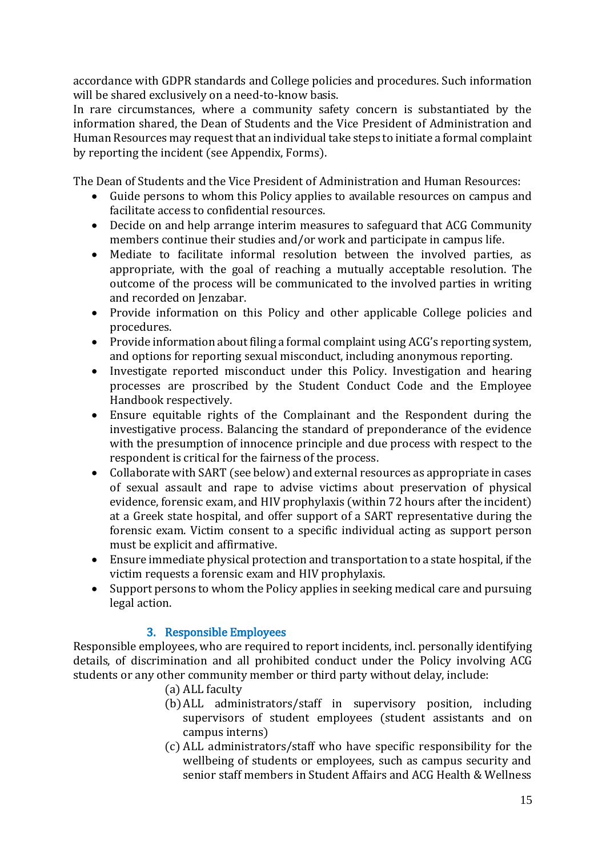accordance with GDPR standards and College policies and procedures. Such information will be shared exclusively on a need-to-know basis.

In rare circumstances, where a community safety concern is substantiated by the information shared, the Dean of Students and the Vice President of Administration and Human Resources may request that an individual take steps to initiate a formal complaint by reporting the incident (see Appendix, Forms).

The Dean of Students and the Vice President of Administration and Human Resources:

- Guide persons to whom this Policy applies to available resources on campus and facilitate access to confidential resources.
- Decide on and help arrange interim measures to safeguard that ACG Community members continue their studies and/or work and participate in campus life.
- Mediate to facilitate informal resolution between the involved parties, as appropriate, with the goal of reaching a mutually acceptable resolution. The outcome of the process will be communicated to the involved parties in writing and recorded on Jenzabar.
- Provide information on this Policy and other applicable College policies and procedures.
- Provide information about filing a formal complaint using ACG's reporting system, and options for reporting sexual misconduct, including anonymous reporting.
- Investigate reported misconduct under this Policy. Investigation and hearing processes are proscribed by the Student Conduct Code and the Employee Handbook respectively.
- Ensure equitable rights of the Complainant and the Respondent during the investigative process. Balancing the standard of preponderance of the evidence with the presumption of innocence principle and due process with respect to the respondent is critical for the fairness of the process.
- Collaborate with SART (see below) and external resources as appropriate in cases of sexual assault and rape to advise victims about preservation of physical evidence, forensic exam, and HIV prophylaxis (within 72 hours after the incident) at a Greek state hospital, and offer support of a SART representative during the forensic exam. Victim consent to a specific individual acting as support person must be explicit and affirmative.
- Ensure immediate physical protection and transportation to a state hospital, if the victim requests a forensic exam and HIV prophylaxis.
- Support persons to whom the Policy applies in seeking medical care and pursuing legal action.

### 3. Responsible Employees

Responsible employees, who are required to report incidents, incl. personally identifying details, of discrimination and all prohibited conduct under the Policy involving ACG students or any other community member or third party without delay, include:

- (a) ALL faculty
- (b)ALL administrators/staff in supervisory position, including supervisors of student employees (student assistants and on campus interns)
- (c) ALL administrators/staff who have specific responsibility for the wellbeing of students or employees, such as campus security and senior staff members in Student Affairs and ACG Health & Wellness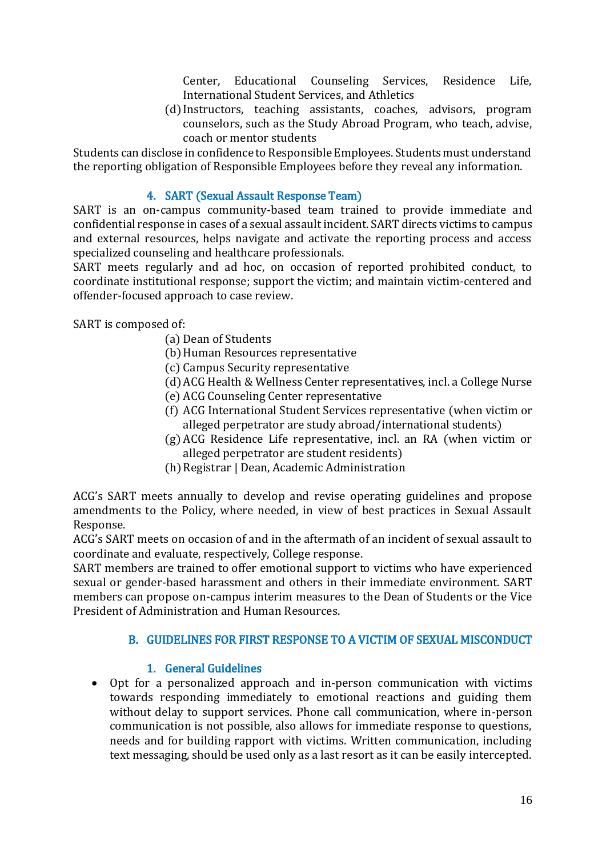Center, Educational Counseling Services, Residence Life, International Student Services, and Athletics

(d) Instructors, teaching assistants, coaches, advisors, program counselors, such as the Study Abroad Program, who teach, advise, coach or mentor students

Students can disclose in confidence to Responsible Employees. Students must understand the reporting obligation of Responsible Employees before they reveal any information.

### 4. SART (Sexual Assault Response Team)

SART is an on-campus community-based team trained to provide immediate and confidential response in cases of a sexual assault incident. SART directs victims to campus and external resources, helps navigate and activate the reporting process and access specialized counseling and healthcare professionals.

SART meets regularly and ad hoc, on occasion of reported prohibited conduct, to coordinate institutional response; support the victim; and maintain victim-centered and offender-focused approach to case review.

SART is composed of:

- (a) Dean of Students
- (b)Human Resources representative
- (c) Campus Security representative
- (d)ACG Health & Wellness Center representatives, incl. a College Nurse
- (e) ACG Counseling Center representative
- (f) ACG International Student Services representative (when victim or alleged perpetrator are study abroad/international students)
- (g) ACG Residence Life representative, incl. an RA (when victim or alleged perpetrator are student residents)
- (h)Registrar | Dean, Academic Administration

ACG's SART meets annually to develop and revise operating guidelines and propose amendments to the Policy, where needed, in view of best practices in Sexual Assault Response.

ACG's SART meets on occasion of and in the aftermath of an incident of sexual assault to coordinate and evaluate, respectively, College response.

SART members are trained to offer emotional support to victims who have experienced sexual or gender-based harassment and others in their immediate environment. SART members can propose on-campus interim measures to the Dean of Students or the Vice President of Administration and Human Resources.

#### B. GUIDELINES FOR FIRST RESPONSE TO A VICTIM OF SEXUAL MISCONDUCT

### 1. General Guidelines

 Opt for a personalized approach and in-person communication with victims towards responding immediately to emotional reactions and guiding them without delay to support services. Phone call communication, where in-person communication is not possible, also allows for immediate response to questions, needs and for building rapport with victims. Written communication, including text messaging, should be used only as a last resort as it can be easily intercepted.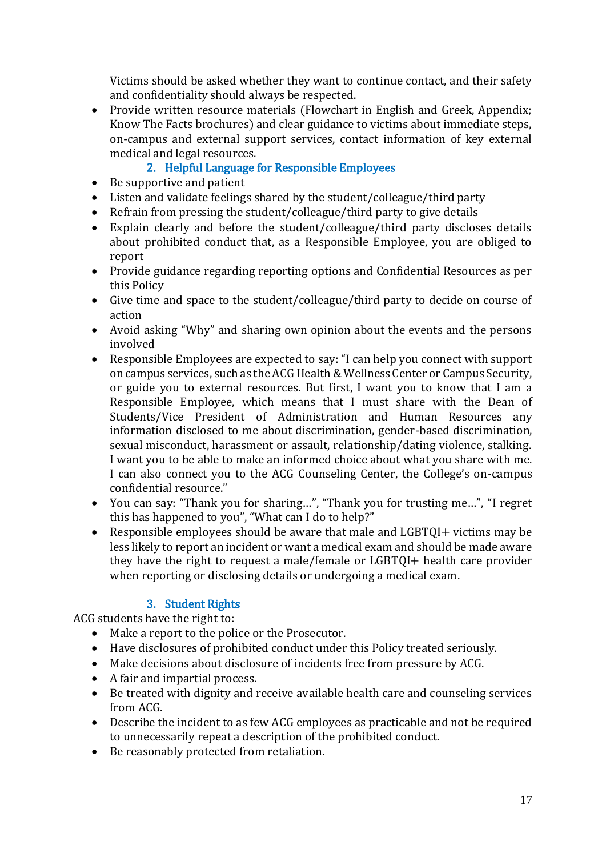Victims should be asked whether they want to continue contact, and their safety and confidentiality should always be respected.

• Provide written resource materials (Flowchart in English and Greek, Appendix; Know The Facts brochures) and clear guidance to victims about immediate steps, on-campus and external support services, contact information of key external medical and legal resources.

# 2. Helpful Language for Responsible Employees

- Be supportive and patient
- Listen and validate feelings shared by the student/colleague/third party
- Refrain from pressing the student/colleague/third party to give details
- Explain clearly and before the student/colleague/third party discloses details about prohibited conduct that, as a Responsible Employee, you are obliged to report
- Provide guidance regarding reporting options and Confidential Resources as per this Policy
- Give time and space to the student/colleague/third party to decide on course of action
- Avoid asking "Why" and sharing own opinion about the events and the persons involved
- Responsible Employees are expected to say: "I can help you connect with support on campus services, such as the ACG Health & Wellness Center or Campus Security, or guide you to external resources. But first, I want you to know that I am a Responsible Employee, which means that I must share with the Dean of Students/Vice President of Administration and Human Resources any information disclosed to me about discrimination, gender-based discrimination, sexual misconduct, harassment or assault, relationship/dating violence, stalking. I want you to be able to make an informed choice about what you share with me. I can also connect you to the ACG Counseling Center, the College's on-campus confidential resource."
- You can say: "Thank you for sharing…", "Thank you for trusting me…", "I regret this has happened to you", "What can I do to help?"
- Responsible employees should be aware that male and LGBTQI+ victims may be less likely to report an incident or want a medical exam and should be made aware they have the right to request a male/female or LGBTQI+ health care provider when reporting or disclosing details or undergoing a medical exam.

### 3. Student Rights

ACG students have the right to:

- Make a report to the police or the Prosecutor.
- Have disclosures of prohibited conduct under this Policy treated seriously.
- Make decisions about disclosure of incidents free from pressure by ACG.
- A fair and impartial process.
- Be treated with dignity and receive available health care and counseling services from ACG.
- Describe the incident to as few ACG employees as practicable and not be required to unnecessarily repeat a description of the prohibited conduct.
- Be reasonably protected from retaliation.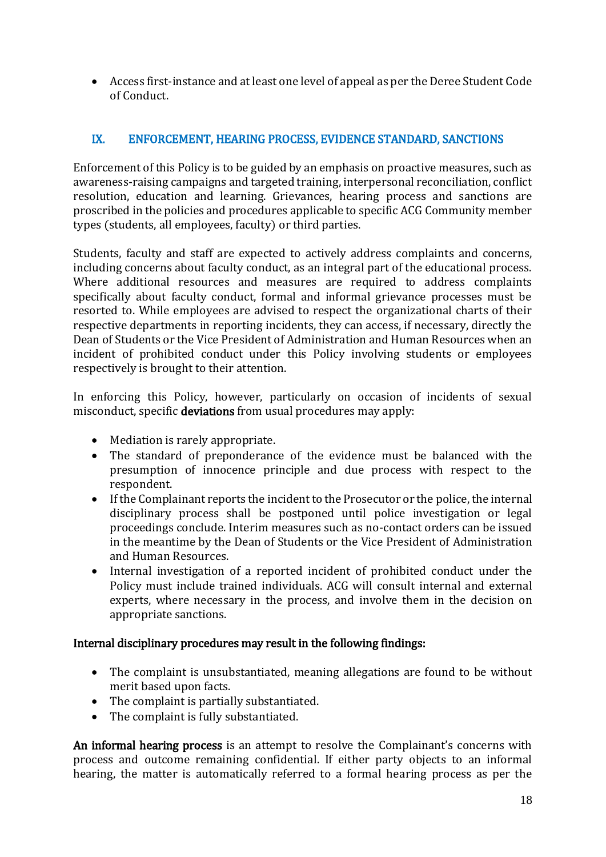Access first-instance and at least one level of appeal as per the Deree Student Code of Conduct.

## IX. ENFORCEMENT, HEARING PROCESS, EVIDENCE STANDARD, SANCTIONS

Enforcement of this Policy is to be guided by an emphasis on proactive measures, such as awareness-raising campaigns and targeted training, interpersonal reconciliation, conflict resolution, education and learning. Grievances, hearing process and sanctions are proscribed in the policies and procedures applicable to specific ACG Community member types (students, all employees, faculty) or third parties.

Students, faculty and staff are expected to actively address complaints and concerns, including concerns about faculty conduct, as an integral part of the educational process. Where additional resources and measures are required to address complaints specifically about faculty conduct, formal and informal grievance processes must be resorted to. While employees are advised to respect the organizational charts of their respective departments in reporting incidents, they can access, if necessary, directly the Dean of Students or the Vice President of Administration and Human Resources when an incident of prohibited conduct under this Policy involving students or employees respectively is brought to their attention.

In enforcing this Policy, however, particularly on occasion of incidents of sexual misconduct, specific deviations from usual procedures may apply:

- Mediation is rarely appropriate.
- The standard of preponderance of the evidence must be balanced with the presumption of innocence principle and due process with respect to the respondent.
- If the Complainant reports the incident to the Prosecutor or the police, the internal disciplinary process shall be postponed until police investigation or legal proceedings conclude. Interim measures such as no-contact orders can be issued in the meantime by the Dean of Students or the Vice President of Administration and Human Resources.
- Internal investigation of a reported incident of prohibited conduct under the Policy must include trained individuals. ACG will consult internal and external experts, where necessary in the process, and involve them in the decision on appropriate sanctions.

#### Internal disciplinary procedures may result in the following findings:

- The complaint is unsubstantiated, meaning allegations are found to be without merit based upon facts.
- The complaint is partially substantiated.
- The complaint is fully substantiated.

An informal hearing process is an attempt to resolve the Complainant's concerns with process and outcome remaining confidential. If either party objects to an informal hearing, the matter is automatically referred to a formal hearing process as per the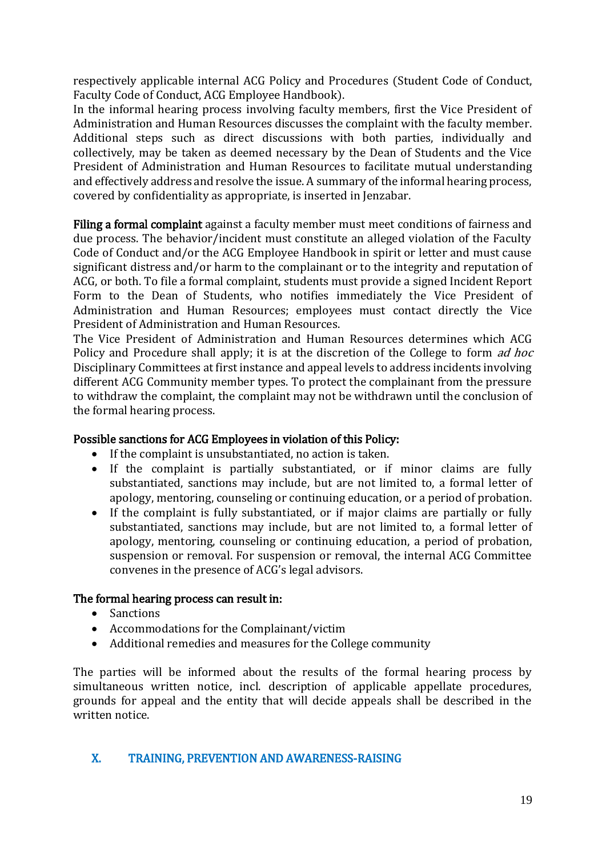respectively applicable internal ACG Policy and Procedures (Student Code of Conduct, Faculty Code of Conduct, ACG Employee Handbook).

In the informal hearing process involving faculty members, first the Vice President of Administration and Human Resources discusses the complaint with the faculty member. Additional steps such as direct discussions with both parties, individually and collectively, may be taken as deemed necessary by the Dean of Students and the Vice President of Administration and Human Resources to facilitate mutual understanding and effectively address and resolve the issue. A summary of the informal hearing process, covered by confidentiality as appropriate, is inserted in Jenzabar.

Filing a formal complaint against a faculty member must meet conditions of fairness and due process. The behavior/incident must constitute an alleged violation of the Faculty Code of Conduct and/or the ACG Employee Handbook in spirit or letter and must cause significant distress and/or harm to the complainant or to the integrity and reputation of ACG, or both. To file a formal complaint, students must provide a signed Incident Report Form to the Dean of Students, who notifies immediately the Vice President of Administration and Human Resources; employees must contact directly the Vice President of Administration and Human Resources.

The Vice President of Administration and Human Resources determines which ACG Policy and Procedure shall apply; it is at the discretion of the College to form *ad hoc* Disciplinary Committees at first instance and appeal levels to address incidents involving different ACG Community member types. To protect the complainant from the pressure to withdraw the complaint, the complaint may not be withdrawn until the conclusion of the formal hearing process.

#### Possible sanctions for ACG Employees in violation of this Policy:

- If the complaint is unsubstantiated, no action is taken.
- If the complaint is partially substantiated, or if minor claims are fully substantiated, sanctions may include, but are not limited to, a formal letter of apology, mentoring, counseling or continuing education, or a period of probation.
- If the complaint is fully substantiated, or if major claims are partially or fully substantiated, sanctions may include, but are not limited to, a formal letter of apology, mentoring, counseling or continuing education, a period of probation, suspension or removal. For suspension or removal, the internal ACG Committee convenes in the presence of ACG's legal advisors.

#### The formal hearing process can result in:

- Sanctions
- Accommodations for the Complainant/victim
- Additional remedies and measures for the College community

The parties will be informed about the results of the formal hearing process by simultaneous written notice, incl. description of applicable appellate procedures, grounds for appeal and the entity that will decide appeals shall be described in the written notice.

### X. TRAINING, PREVENTION AND AWARENESS-RAISING